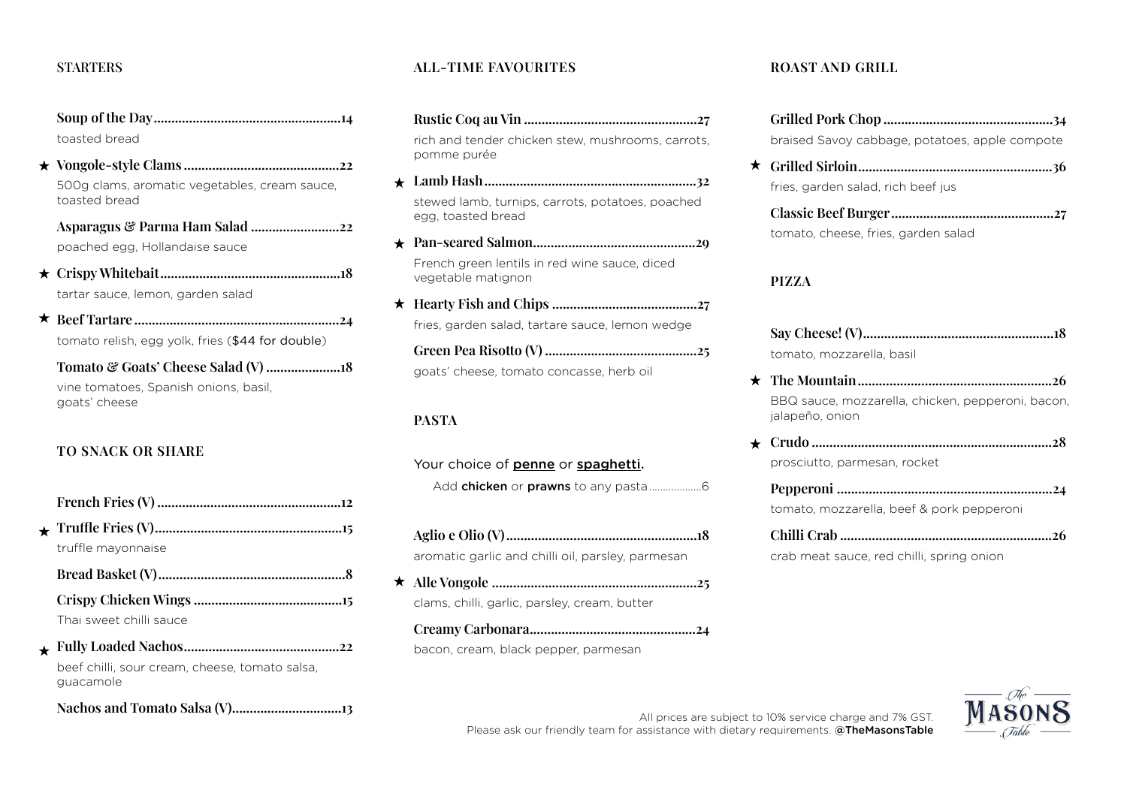#### **STARTERS**

**Soup of the Day.....................................................14** toasted bread

**Vongole-style Clams ............................................22** 500g clams, aromatic vegetables, cream sauce, toasted bread

**Asparagus & Parma Ham Salad .........................22** poached egg, Hollandaise sauce

- **Crispy Whitebait...................................................18** tartar sauce, lemon, garden salad
- **Beef Tartare ..........................................................24** tomato relish, egg yolk, fries (\$44 for double)

**Tomato & Goats' Cheese Salad (V) .....................18** vine tomatoes, Spanish onions, basil, goats' cheese

# **TO SNACK OR SHARE**

| truffle mayonnaise      |
|-------------------------|
|                         |
|                         |
| Thai sweet chilli sauce |
|                         |

**Fully Loaded Nachos............................................22** beef chilli, sour cream, cheese, tomato salsa, guacamole

**Nachos and Tomato Salsa (V)...............................13**

## **ALL-TIME FAVOURITES**

- **Rustic Coq au Vin .................................................27** rich and tender chicken stew, mushrooms, carrots, pomme purée
- **Lamb Hash............................................................32** stewed lamb, turnips, carrots, potatoes, poached egg, toasted bread
- **Pan-seared Salmon..............................................29** French green lentils in red wine sauce, diced vegetable matignon
- **Hearty Fish and Chips .........................................27** fries, garden salad, tartare sauce, lemon wedge

**Green Pea Risotto (V) ...........................................25** goats' cheese, tomato concasse, herb oil

#### **PASTA**

Your choice of penne or spaghetti. Add chicken or prawns to any pasta...................6

- **Aglio e Olio (V)......................................................18** aromatic garlic and chilli oil, parsley, parmesan
- **Alle Vongole ..........................................................25**
	- clams, chilli, garlic, parsley, cream, butter

**Creamy Carbonara...............................................24** bacon, cream, black pepper, parmesan

#### **ROAST AND GRILL**

| braised Savoy cabbage, potatoes, apple compote |  |
|------------------------------------------------|--|

**Grilled Sirloin.......................................................36** fries, garden salad, rich beef jus

| tomato, cheese, fries, garden salad |  |
|-------------------------------------|--|

# **PIZZA**

| tomato, mozzarella, basil |
|---------------------------|

- **The Mountain.......................................................26** BBQ sauce, mozzarella, chicken, pepperoni, bacon, jalapeño, onion
- **Crudo ....................................................................28** prosciutto, parmesan, rocket

| tomato, mozzarella, beef & pork pepperoni |
|-------------------------------------------|
|                                           |

crab meat sauce, red chilli, spring onion



All prices are subject to 10% service charge and 7% GST. Please ask our friendly team for assistance with dietary requirements. @TheMasonsTable